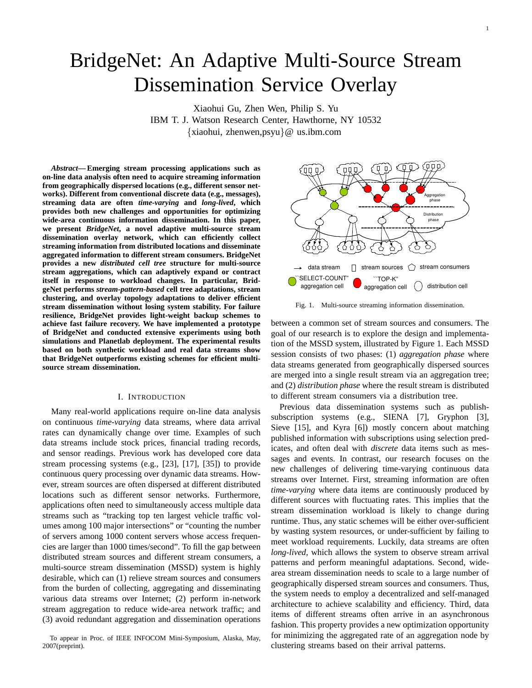# BridgeNet: An Adaptive Multi-Source Stream Dissemination Service Overlay

Xiaohui Gu, Zhen Wen, Philip S. Yu IBM T. J. Watson Research Center, Hawthorne, NY 10532 {xiaohui, zhenwen,psyu}@ us.ibm.com

*Abstract***— Emerging stream processing applications such as on-line data analysis often need to acquire streaming information from geographically dispersed locations (e.g., different sensor networks). Different from conventional discrete data (e.g., messages), streaming data are often** *time-varying* **and** *long-lived***, which provides both new challenges and opportunities for optimizing wide-area continuous information dissemination. In this paper, we present** *BridgeNet***, a novel adaptive multi-source stream dissemination overlay network, which can efficiently collect streaming information from distributed locations and disseminate aggregated information to different stream consumers. BridgeNet provides a new** *distributed cell tree* **structure for multi-source stream aggregations, which can adaptively expand or contract itself in response to workload changes. In particular, BridgeNet performs** *stream-pattern-based* **cell tree adaptations, stream clustering, and overlay topology adaptations to deliver efficient stream dissemination without losing system stability. For failure resilience, BridgeNet provides light-weight backup schemes to achieve fast failure recovery. We have implemented a prototype of BridgeNet and conducted extensive experiments using both simulations and Planetlab deployment. The experimental results based on both synthetic workload and real data streams show that BridgeNet outperforms existing schemes for efficient multisource stream dissemination.**

# I. INTRODUCTION

Many real-world applications require on-line data analysis on continuous *time-varying* data streams, where data arrival rates can dynamically change over time. Examples of such data streams include stock prices, financial trading records, and sensor readings. Previous work has developed core data stream processing systems (e.g., [23], [17], [35]) to provide continuous query processing over dynamic data streams. However, stream sources are often dispersed at different distributed locations such as different sensor networks. Furthermore, applications often need to simultaneously access multiple data streams such as "tracking top ten largest vehicle traffic volumes among 100 major intersections" or "counting the number of servers among 1000 content servers whose access frequencies are larger than 1000 times/second". To fill the gap between distributed stream sources and different stream consumers, a multi-source stream dissemination (MSSD) system is highly desirable, which can (1) relieve stream sources and consumers from the burden of collecting, aggregating and disseminating various data streams over Internet; (2) perform in-network stream aggregation to reduce wide-area network traffic; and (3) avoid redundant aggregation and dissemination operations

To appear in Proc. of IEEE INFOCOM Mini-Symposium, Alaska, May, 2007(preprint).



Fig. 1. Multi-source streaming information dissemination.

between a common set of stream sources and consumers. The goal of our research is to explore the design and implementation of the MSSD system, illustrated by Figure 1. Each MSSD session consists of two phases: (1) *aggregation phase* where data streams generated from geographically dispersed sources are merged into a single result stream via an aggregation tree; and (2) *distribution phase* where the result stream is distributed to different stream consumers via a distribution tree.

Previous data dissemination systems such as publishsubscription systems (e.g., SIENA [7], Gryphon [3], Sieve [15], and Kyra [6]) mostly concern about matching published information with subscriptions using selection predicates, and often deal with *discrete* data items such as messages and events. In contrast, our research focuses on the new challenges of delivering time-varying continuous data streams over Internet. First, streaming information are often *time-varying* where data items are continuously produced by different sources with fluctuating rates. This implies that the stream dissemination workload is likely to change during runtime. Thus, any static schemes will be either over-sufficient by wasting system resources, or under-sufficient by failing to meet workload requirements. Luckily, data streams are often *long-lived*, which allows the system to observe stream arrival patterns and perform meaningful adaptations. Second, widearea stream dissemination needs to scale to a large number of geographically dispersed stream sources and consumers. Thus, the system needs to employ a decentralized and self-managed architecture to achieve scalability and efficiency. Third, data items of different streams often arrive in an asynchronous fashion. This property provides a new optimization opportunity for minimizing the aggregated rate of an aggregation node by clustering streams based on their arrival patterns.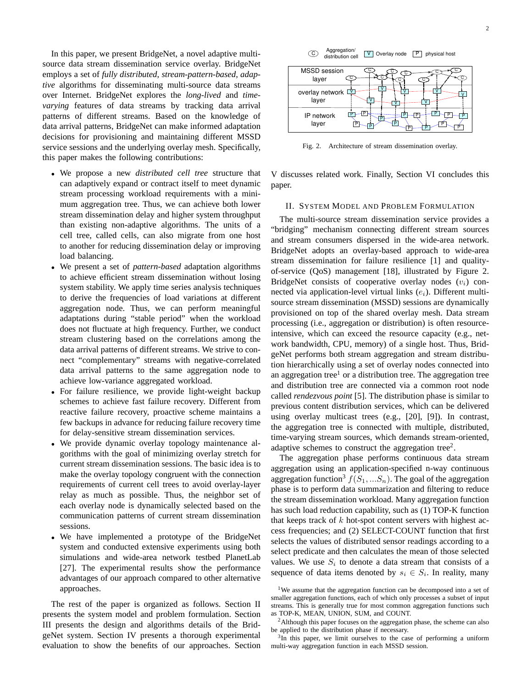In this paper, we present BridgeNet, a novel adaptive multisource data stream dissemination service overlay. BridgeNet employs a set of *fully distributed*, *stream-pattern-based*, *adaptive* algorithms for disseminating multi-source data streams over Internet. BridgeNet explores the *long-lived* and *timevarying* features of data streams by tracking data arrival patterns of different streams. Based on the knowledge of data arrival patterns, BridgeNet can make informed adaptation decisions for provisioning and maintaining different MSSD service sessions and the underlying overlay mesh. Specifically, this paper makes the following contributions:

- We propose a new *distributed cell tree* structure that can adaptively expand or contract itself to meet dynamic stream processing workload requirements with a minimum aggregation tree. Thus, we can achieve both lower stream dissemination delay and higher system throughput than existing non-adaptive algorithms. The units of a cell tree, called cells, can also migrate from one host to another for reducing dissemination delay or improving load balancing.
- We present a set of *pattern-based* adaptation algorithms to achieve efficient stream dissemination without losing system stability. We apply time series analysis techniques to derive the frequencies of load variations at different aggregation node. Thus, we can perform meaningful adaptations during "stable period" when the workload does not fluctuate at high frequency. Further, we conduct stream clustering based on the correlations among the data arrival patterns of different streams. We strive to connect "complementary" streams with negative-correlated data arrival patterns to the same aggregation node to achieve low-variance aggregated workload.
- For failure resilience, we provide light-weight backup schemes to achieve fast failure recovery. Different from reactive failure recovery, proactive scheme maintains a few backups in advance for reducing failure recovery time for delay-sensitive stream dissemination services.
- We provide dynamic overlay topology maintenance algorithms with the goal of minimizing overlay stretch for current stream dissemination sessions. The basic idea is to make the overlay topology congruent with the connection requirements of current cell trees to avoid overlay-layer relay as much as possible. Thus, the neighbor set of each overlay node is dynamically selected based on the communication patterns of current stream dissemination sessions.
- We have implemented a prototype of the BridgeNet system and conducted extensive experiments using both simulations and wide-area network testbed PlanetLab [27]. The experimental results show the performance advantages of our approach compared to other alternative approaches.

The rest of the paper is organized as follows. Section II presents the system model and problem formulation. Section III presents the design and algorithms details of the BridgeNet system. Section IV presents a thorough experimental evaluation to show the benefits of our approaches. Section



Fig. 2. Architecture of stream dissemination overlay.

V discusses related work. Finally, Section VI concludes this paper.

## II. SYSTEM MODEL AND PROBLEM FORMULATION

The multi-source stream dissemination service provides a "bridging" mechanism connecting different stream sources and stream consumers dispersed in the wide-area network. BridgeNet adopts an overlay-based approach to wide-area stream dissemination for failure resilience [1] and qualityof-service (QoS) management [18], illustrated by Figure 2. BridgeNet consists of cooperative overlay nodes  $(v_i)$  connected via application-level virtual links  $(e_i)$ . Different multisource stream dissemination (MSSD) sessions are dynamically provisioned on top of the shared overlay mesh. Data stream processing (i.e., aggregation or distribution) is often resourceintensive, which can exceed the resource capacity (e.g., network bandwidth, CPU, memory) of a single host. Thus, BridgeNet performs both stream aggregation and stream distribution hierarchically using a set of overlay nodes connected into an aggregation tree<sup>1</sup> or a distribution tree. The aggregation tree and distribution tree are connected via a common root node called *rendezvous point* [5]. The distribution phase is similar to previous content distribution services, which can be delivered using overlay multicast trees (e.g., [20], [9]). In contrast, the aggregation tree is connected with multiple, distributed, time-varying stream sources, which demands stream-oriented, adaptive schemes to construct the aggregation tree<sup>2</sup>.

The aggregation phase performs continuous data stream aggregation using an application-specified n-way continuous aggregation function<sup>3</sup>  $f(S_1, \ldots, S_n)$ . The goal of the aggregation phase is to perform data summarization and filtering to reduce the stream dissemination workload. Many aggregation function has such load reduction capability, such as (1) TOP-K function that keeps track of  $k$  hot-spot content servers with highest access frequencies; and (2) SELECT-COUNT function that first selects the values of distributed sensor readings according to a select predicate and then calculates the mean of those selected values. We use  $S_i$  to denote a data stream that consists of a sequence of data items denoted by  $s_i \in S_i$ . In reality, many

<sup>&</sup>lt;sup>1</sup>We assume that the aggregation function can be decomposed into a set of smaller aggregation functions, each of which only processes a subset of input streams. This is generally true for most common aggregation functions such as TOP-K, MEAN, UNION, SUM, and COUNT.

<sup>&</sup>lt;sup>2</sup>Although this paper focuses on the aggregation phase, the scheme can also be applied to the distribution phase if necessary.

<sup>&</sup>lt;sup>3</sup>In this paper, we limit ourselves to the case of performing a uniform multi-way aggregation function in each MSSD session.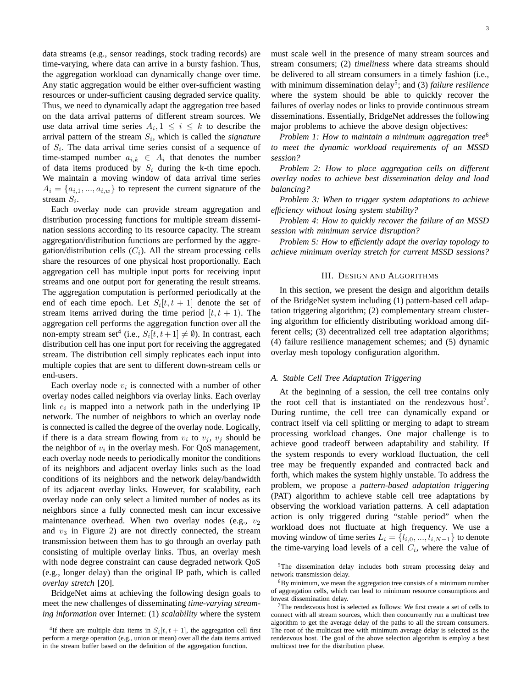data streams (e.g., sensor readings, stock trading records) are time-varying, where data can arrive in a bursty fashion. Thus, the aggregation workload can dynamically change over time. Any static aggregation would be either over-sufficient wasting resources or under-sufficient causing degraded service quality. Thus, we need to dynamically adapt the aggregation tree based on the data arrival patterns of different stream sources. We use data arrival time series  $A_i, 1 \leq i \leq k$  to describe the arrival pattern of the stream  $S_i$ , which is called the *signature* of  $S_i$ . The data arrival time series consist of a sequence of time-stamped number  $a_{i,k} \in A_i$  that denotes the number of data items produced by  $S_i$  during the k-th time epoch. We maintain a moving window of data arrival time series  $A_i = \{a_{i,1},...,a_{i,w}\}\$ to represent the current signature of the stream  $S_i$ .

Each overlay node can provide stream aggregation and distribution processing functions for multiple stream dissemination sessions according to its resource capacity. The stream aggregation/distribution functions are performed by the aggregation/distribution cells  $(C_i)$ . All the stream processing cells share the resources of one physical host proportionally. Each aggregation cell has multiple input ports for receiving input streams and one output port for generating the result streams. The aggregation computation is performed periodically at the end of each time epoch. Let  $S_i[t, t + 1]$  denote the set of stream items arrived during the time period  $[t, t + 1)$ . The aggregation cell performs the aggregation function over all the non-empty stream set<sup>4</sup> (i.e.,  $S_i[t, t+1] \neq \emptyset$ ). In contrast, each distribution cell has one input port for receiving the aggregated stream. The distribution cell simply replicates each input into multiple copies that are sent to different down-stream cells or end-users.

Each overlay node  $v_i$  is connected with a number of other overlay nodes called neighbors via overlay links. Each overlay link  $e_i$  is mapped into a network path in the underlying IP network. The number of neighbors to which an overlay node is connected is called the degree of the overlay node. Logically, if there is a data stream flowing from  $v_i$  to  $v_j$ ,  $v_j$  should be the neighbor of  $v_i$  in the overlay mesh. For QoS management, each overlay node needs to periodically monitor the conditions of its neighbors and adjacent overlay links such as the load conditions of its neighbors and the network delay/bandwidth of its adjacent overlay links. However, for scalability, each overlay node can only select a limited number of nodes as its neighbors since a fully connected mesh can incur excessive maintenance overhead. When two overlay nodes (e.g.,  $v_2$ ) and  $v_3$  in Figure 2) are not directly connected, the stream transmission between them has to go through an overlay path consisting of multiple overlay links. Thus, an overlay mesh with node degree constraint can cause degraded network QoS (e.g., longer delay) than the original IP path, which is called *overlay stretch* [20].

BridgeNet aims at achieving the following design goals to meet the new challenges of disseminating *time-varying streaming information* over Internet: (1) *scalability* where the system must scale well in the presence of many stream sources and stream consumers; (2) *timeliness* where data streams should be delivered to all stream consumers in a timely fashion (i.e., with minimum dissemination delay<sup>5</sup>; and (3) *failure resilience* where the system should be able to quickly recover the failures of overlay nodes or links to provide continuous stream disseminations. Essentially, BridgeNet addresses the following major problems to achieve the above design objectives:

*Problem 1: How to maintain a minimum aggregation tree*<sup>6</sup> *to meet the dynamic workload requirements of an MSSD session?*

*Problem 2: How to place aggregation cells on different overlay nodes to achieve best dissemination delay and load balancing?*

*Problem 3: When to trigger system adaptations to achieve efficiency without losing system stability?*

*Problem 4: How to quickly recover the failure of an MSSD session with minimum service disruption?*

*Problem 5: How to efficiently adapt the overlay topology to achieve minimum overlay stretch for current MSSD sessions?*

#### III. DESIGN AND ALGORITHMS

In this section, we present the design and algorithm details of the BridgeNet system including (1) pattern-based cell adaptation triggering algorithm; (2) complementary stream clustering algorithm for efficiently distributing workload among different cells; (3) decentralized cell tree adaptation algorithms; (4) failure resilience management schemes; and (5) dynamic overlay mesh topology configuration algorithm.

# *A. Stable Cell Tree Adaptation Triggering*

At the beginning of a session, the cell tree contains only the root cell that is instantiated on the rendezvous host<sup>7</sup>. During runtime, the cell tree can dynamically expand or contract itself via cell splitting or merging to adapt to stream processing workload changes. One major challenge is to achieve good tradeoff between adaptability and stability. If the system responds to every workload fluctuation, the cell tree may be frequently expanded and contracted back and forth, which makes the system highly unstable. To address the problem, we propose a *pattern-based adaptation triggering* (PAT) algorithm to achieve stable cell tree adaptations by observing the workload variation patterns. A cell adaptation action is only triggered during "stable period" when the workload does not fluctuate at high frequency. We use a moving window of time series  $L_i = \{l_{i,0}, ..., l_{i,N-1}\}\$ to denote the time-varying load levels of a cell  $C_i$ , where the value of

<sup>&</sup>lt;sup>4</sup>If there are multiple data items in  $S_i[t, t + 1]$ , the aggregation cell first perform a merge operation (e.g., union or mean) over all the data items arrived in the stream buffer based on the definition of the aggregation function.

<sup>5</sup>The dissemination delay includes both stream processing delay and network transmission delay.

<sup>6</sup>By minimum, we mean the aggregation tree consists of a minimum number of aggregation cells, which can lead to minimum resource consumptions and lowest dissemination delay.

<sup>7</sup>The rendezvous host is selected as follows: We first create a set of cells to connect with all stream sources, which then concurrently run a multicast tree algorithm to get the average delay of the paths to all the stream consumers. The root of the multicast tree with minimum average delay is selected as the rendezvous host. The goal of the above selection algorithm is employ a best multicast tree for the distribution phase.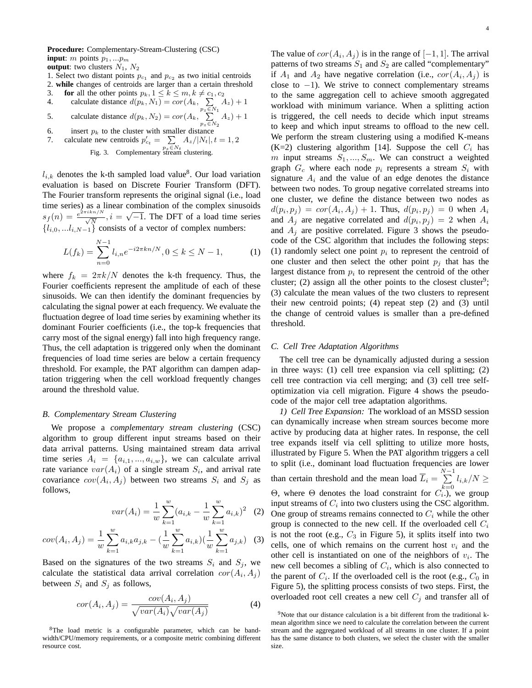**Procedure:** Complementary-Stream-Clustering (CSC) **input**: m points  $p_1, \ldots, p_m$ 

**output**: two clusters  $N_1$ ,  $N_2$ 

- 1. Select two distant points  $p_{c_1}$  and  $p_{c_2}$  as two initial centroids
- 2. **while** changes of centroids are larger than a certain threshold
- 3. **for** all the other points  $p_k, 1 \le k \le m, k \ne c_1, c_2$ <br>4. calculate distance  $d(p_k, N_1) = cor(A_k, \sum_{k=1}^{\infty} A_k)$

4. calculate distance 
$$
d(p_k, N_1) = cor(A_k, \sum_{p_z \in N_1} A_z) + 1
$$
  
5. calculate distance  $d(p_k, N_2) = cor(A_k, \sum_{p_z \in N_1} A_z) + 1$ 

5. calculate distance 
$$
d(p_k, N_2) = cor(A_k, \sum_{p_z \in N_2} A_z) + 1
$$

6. insert  $p_k$  to the cluster with smaller distance 7. calculate new centroids  $p'_{c_t} = \sum A_z/|N_t|, t = 1, 2$ 

pz∈Nt Fig. 3. Complementary stream clustering.

 $l_{i,k}$  denotes the k-th sampled load value<sup>8</sup>. Our load variation evaluation is based on Discrete Fourier Transform (DFT). The Fourier transform represents the original signal (i.e., load time series) as a linear combination of the complex sinusoids the series) as a filter combination of the complex smusoids<br>  $s_f(n) = \frac{e^{2\pi i k n/N}}{\sqrt{N}}, i = \sqrt{-1}$ . The DFT of a load time series  $\{l_{i,0},...l_{i,N-1}\}$  consists of a vector of complex numbers:

$$
L(f_k) = \sum_{n=0}^{N-1} l_{i,n} e^{-i2\pi kn/N}, 0 \le k \le N-1,
$$
 (1)

where  $f_k = 2\pi k/N$  denotes the k-th frequency. Thus, the Fourier coefficients represent the amplitude of each of these sinusoids. We can then identify the dominant frequencies by calculating the signal power at each frequency. We evaluate the fluctuation degree of load time series by examining whether its dominant Fourier coefficients (i.e., the top-k frequencies that carry most of the signal energy) fall into high frequency range. Thus, the cell adaptation is triggered only when the dominant frequencies of load time series are below a certain frequency threshold. For example, the PAT algorithm can dampen adaptation triggering when the cell workload frequently changes around the threshold value.

## *B. Complementary Stream Clustering*

We propose a *complementary stream clustering* (CSC) algorithm to group different input streams based on their data arrival patterns. Using maintained stream data arrival time series  $A_i = \{a_{i,1},...,a_{i,w}\}\$ , we can calculate arrival rate variance  $var(A_i)$  of a single stream  $S_i$ , and arrival rate covariance  $cov(A_i, A_j)$  between two streams  $S_i$  and  $S_j$  as follows,

$$
var(A_i) = \frac{1}{w} \sum_{k=1}^{w} (a_{i,k} - \frac{1}{w} \sum_{k=1}^{w} a_{i,k})^2
$$
 (2)

$$
cov(A_i, A_j) = \frac{1}{w} \sum_{k=1}^{w} a_{i,k} a_{j,k} - (\frac{1}{w} \sum_{k=1}^{w} a_{i,k}) (\frac{1}{w} \sum_{k=1}^{w} a_{j,k})
$$
 (3)

Based on the signatures of the two streams  $S_i$  and  $S_j$ , we calculate the statistical data arrival correlation  $cor(A_i, A_j)$ between  $S_i$  and  $S_j$  as follows,

$$
cor(A_i, A_j) = \frac{cov(A_i, A_j)}{\sqrt{var(A_i)}\sqrt{var(A_j)}}
$$
(4)

<sup>8</sup>The load metric is a configurable parameter, which can be bandwidth/CPU/memory requirements, or a composite metric combining different resource cost.

The value of  $cor(A_i, A_j)$  is in the range of  $[-1, 1]$ . The arrival patterns of two streams  $S_1$  and  $S_2$  are called "complementary" if  $A_1$  and  $A_2$  have negative correlation (i.e.,  $cor(A_i, A_j)$ ) is close to  $-1$ ). We strive to connect complementary streams to the same aggregation cell to achieve smooth aggregated workload with minimum variance. When a splitting action is triggered, the cell needs to decide which input streams to keep and which input streams to offload to the new cell. We perform the stream clustering using a modified K-means (K=2) clustering algorithm [14]. Suppose the cell  $C_i$  has m input streams  $S_1, ..., S_m$ . We can construct a weighted graph  $G_c$  where each node  $p_i$  represents a stream  $S_i$  with signature  $A_i$  and the value of an edge denotes the distance between two nodes. To group negative correlated streams into one cluster, we define the distance between two nodes as  $d(p_i, p_j) = cor(A_i, A_j) + 1$ . Thus,  $d(p_i, p_j) = 0$  when  $A_i$ and  $A_j$  are negative correlated and  $d(p_i, p_j) = 2$  when  $A_i$ and  $A_i$  are positive correlated. Figure 3 shows the pseudocode of the CSC algorithm that includes the following steps: (1) randomly select one point  $p_i$  to represent the centroid of one cluster and then select the other point  $p_j$  that has the largest distance from  $p_i$  to represent the centroid of the other cluster; (2) assign all the other points to the closest cluster<sup>9</sup>; (3) calculate the mean values of the two clusters to represent their new centroid points; (4) repeat step (2) and (3) until the change of centroid values is smaller than a pre-defined threshold.

# *C. Cell Tree Adaptation Algorithms*

The cell tree can be dynamically adjusted during a session in three ways: (1) cell tree expansion via cell splitting; (2) cell tree contraction via cell merging; and (3) cell tree selfoptimization via cell migration. Figure 4 shows the pseudocode of the major cell tree adaptation algorithms.

*1) Cell Tree Expansion:* The workload of an MSSD session can dynamically increase when stream sources become more active by producing data at higher rates. In response, the cell tree expands itself via cell splitting to utilize more hosts, illustrated by Figure 5. When the PAT algorithm triggers a cell to split (i.e., dominant load fluctuation frequencies are lower than certain threshold and the mean load  $\overline{L}_i = \sum_{n=1}^{N-1}$  $\sum_{k=0} l_{i,k}/N \geq$ Θ, where Θ denotes the load constraint for  $C_i$ .), we group input streams of  $C_i$  into two clusters using the CSC algorithm. One group of streams remains connected to  $C_i$  while the other group is connected to the new cell. If the overloaded cell  $C_i$ is not the root (e.g.,  $C_3$  in Figure 5), it splits itself into two cells, one of which remains on the current host  $v_i$  and the other cell is instantiated on one of the neighbors of  $v_i$ . The new cell becomes a sibling of  $C_i$ , which is also connected to the parent of  $C_i$ . If the overloaded cell is the root (e.g.,  $C_0$  in Figure 5), the splitting process consists of two steps. First, the overloaded root cell creates a new cell  $C_j$  and transfer all of

<sup>9</sup>Note that our distance calculation is a bit different from the traditional kmean algorithm since we need to calculate the correlation between the current stream and the aggregated workload of all streams in one cluster. If a point has the same distance to both clusters, we select the cluster with the smaller size.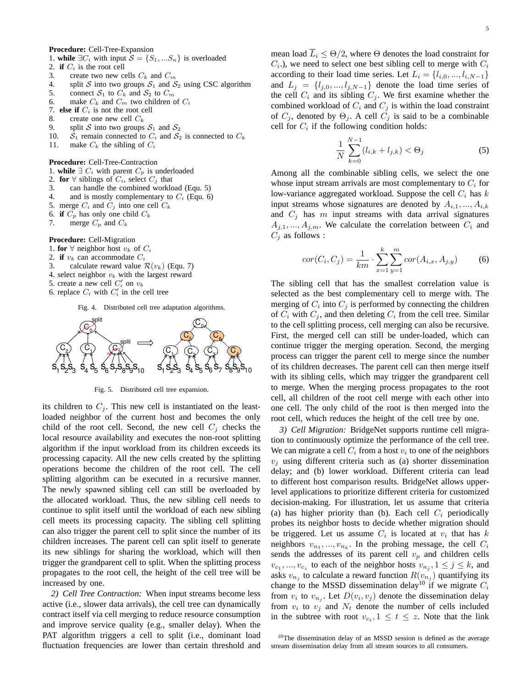#### **Procedure:** Cell-Tree-Expansion

1. **while**  $\exists C_i$  with input  $S = \{S_1, ... S_n\}$  is overloaded

- 2. **if**  $C_i$  is the root cell
- 3. create two new cells  $C_k$  and  $C_m$
- 4. split S into two groups  $S_1$  and  $S_2$  using CSC algorithm
- 5. connect  $S_1$  to  $C_k$  and  $S_2$  to  $C_m$
- 6. make  $C_k$  and  $C_m$  two children of  $C_i$
- 7. **else if**  $C_i$  is not the root cell
- 8. create one new cell  $C_k$
- 9. split S into two groups  $S_1$  and  $S_2$
- 10.  $S_1$  remain connected to  $C_i$  and  $S_2$  is connected to  $C_k$
- 11. make  $C_k$  the sibling of  $C_i$

#### **Procedure:** Cell-Tree-Contraction

- 1. **while**  $∃ C_i$  with parent  $C_p$  is underloaded
- 2. **for**  $\forall$  siblings of  $C_i$ , select  $C_j$  that
- 3. can handle the combined workload (Equ. 5)
- 4. and is mostly complementary to  $C_i$  (Equ. 6)
- 5. merge  $C_i$  and  $C_j$  into one cell  $C_k$
- 6. **if**  $C_p$  has only one child  $C_k$
- 7. merge  $C_p$  and  $C_k$

#### **Procedure:** Cell-Migration

- 1. **for**  $\forall$  neighbor host  $v_k$  of  $C_i$
- 2. **if**  $v_k$  can accommodate  $C_i$
- 3. calculate reward value  $\mathcal{R}(v_k)$  (Equ. 7)
- 4. select neighbor  $v<sub>b</sub>$  with the largest reward
- 5. create a new cell  $C_i'$  on  $v_b$
- 6. replace  $C_i$  with  $C'_i$  in the cell tree

Fig. 4. Distributed cell tree adaptation algorithms.



Fig. 5. Distributed cell tree expansion.

its children to  $C_i$ . This new cell is instantiated on the leastloaded neighbor of the current host and becomes the only child of the root cell. Second, the new cell  $C_i$  checks the local resource availability and executes the non-root splitting algorithm if the input workload from its children exceeds its processing capacity. All the new cells created by the splitting operations become the children of the root cell. The cell splitting algorithm can be executed in a recursive manner. The newly spawned sibling cell can still be overloaded by the allocated workload. Thus, the new sibling cell needs to continue to split itself until the workload of each new sibling cell meets its processing capacity. The sibling cell splitting can also trigger the parent cell to split since the number of its children increases. The parent cell can split itself to generate its new siblings for sharing the workload, which will then trigger the grandparent cell to split. When the splitting process propagates to the root cell, the height of the cell tree will be increased by one.

*2) Cell Tree Contraction:* When input streams become less active (i.e., slower data arrivals), the cell tree can dynamically contract itself via cell merging to reduce resource consumption and improve service quality (e.g., smaller delay). When the PAT algorithm triggers a cell to split (i.e., dominant load fluctuation frequencies are lower than certain threshold and

5

mean load  $\overline{L}_i \leq \Theta/2$ , where  $\Theta$  denotes the load constraint for  $C_i$ .), we need to select one best sibling cell to merge with  $C_i$ according to their load time series. Let  $L_i = \{l_{i,0}, ..., l_{i,N-1}\}\$ and  $L_j = \{l_{j,0},...,l_{j,N-1}\}\$  denote the load time series of the cell  $C_i$  and its sibling  $C_j$ . We first examine whether the combined workload of  $C_i$  and  $C_j$  is within the load constraint of  $C_i$ , denoted by  $\Theta_i$ . A cell  $C_i$  is said to be a combinable cell for  $C_i$  if the following condition holds:

$$
\frac{1}{N} \sum_{k=0}^{N-1} (l_{i,k} + l_{j,k}) < \Theta_j \tag{5}
$$

Among all the combinable sibling cells, we select the one whose input stream arrivals are most complementary to  $C_i$  for low-variance aggregated workload. Suppose the cell  $C_i$  has k input streams whose signatures are denoted by  $A_{i,1},...,A_{i,k}$ and  $C_j$  has m input streams with data arrival signatures  $A_{j,1},..., A_{j,m}$ . We calculate the correlation between  $C_i$  and  $C_i$  as follows :

$$
cor(C_i, C_j) = \frac{1}{km} \cdot \sum_{x=1}^{k} \sum_{y=1}^{m} cor(A_{i,x}, A_{j,y})
$$
 (6)

The sibling cell that has the smallest correlation value is selected as the best complementary cell to merge with. The merging of  $C_i$  into  $C_j$  is performed by connecting the children of  $C_i$  with  $C_j$ , and then deleting  $C_i$  from the cell tree. Similar to the cell splitting process, cell merging can also be recursive. First, the merged cell can still be under-loaded, which can continue trigger the merging operation. Second, the merging process can trigger the parent cell to merge since the number of its children decreases. The parent cell can then merge itself with its sibling cells, which may trigger the grandparent cell to merge. When the merging process propagates to the root cell, all children of the root cell merge with each other into one cell. The only child of the root is then merged into the root cell, which reduces the height of the cell tree by one.

*3) Cell Migration:* BridgeNet supports runtime cell migration to continuously optimize the performance of the cell tree. We can migrate a cell  $C_i$  from a host  $v_i$  to one of the neighbors  $v_i$  using different criteria such as (a) shorter dissemination delay; and (b) lower workload. Different criteria can lead to different host comparison results. BridgeNet allows upperlevel applications to prioritize different criteria for customized decision-making. For illustration, let us assume that criteria (a) has higher priority than (b). Each cell  $C_i$  periodically probes its neighbor hosts to decide whether migration should be triggered. Let us assume  $C_i$  is located at  $v_i$  that has k neighbors  $v_{n_1},...,v_{n_k}$ . In the probing message, the cell  $C_i$ sends the addresses of its parent cell  $v_p$  and children cells  $v_{c_1},...,v_{c_s}$  to each of the neighbor hosts  $v_{n_j}, 1 \leq j \leq k$ , and asks  $v_{n_j}$  to calculate a reward function  $R(v_{n_j})$  quantifying its change to the MSSD dissemination delay<sup>10</sup> if we migrate  $C_i$ from  $v_i$  to  $v_{n_j}$ . Let  $D(v_i, v_j)$  denote the dissemination delay from  $v_i$  to  $v_j$  and  $N_t$  denote the number of cells included in the subtree with root  $v_{c_t}$ ,  $1 \le t \le z$ . Note that the link

 $10$ The dissemination delay of an MSSD session is defined as the average stream dissemination delay from all stream sources to all consumers.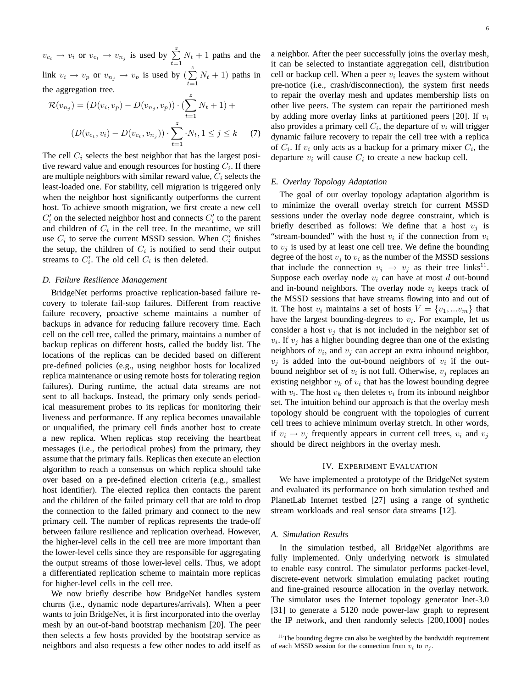$v_{c_t} \rightarrow v_i$  or  $v_{c_t} \rightarrow v_{n_j}$  is used by  $\sum_{t=1}^{z} N_t + 1$  paths and the link  $v_i \rightarrow v_p$  or  $v_{n_j} \rightarrow v_p$  is used by  $(\sum_{i=1}^{z}$  $\sum_{t=1} N_t + 1$ ) paths in the aggregation tree.

$$
\mathcal{R}(v_{n_j}) = (D(v_i, v_p) - D(v_{n_j}, v_p)) \cdot (\sum_{t=1}^{z} N_t + 1) +
$$
  

$$
(D(v_{c_t}, v_i) - D(v_{c_t}, v_{n_j})) \cdot \sum_{t=1}^{z} \cdot N_t, 1 \leq j \leq k \tag{7}
$$

The cell  $C_i$  selects the best neighbor that has the largest positive reward value and enough resources for hosting  $C_i$ . If there are multiple neighbors with similar reward value,  $C_i$  selects the least-loaded one. For stability, cell migration is triggered only when the neighbor host significantly outperforms the current host. To achieve smooth migration, we first create a new cell  $C_i'$  on the selected neighbor host and connects  $C_i'$  to the parent and children of  $C_i$  in the cell tree. In the meantime, we still use  $C_i$  to serve the current MSSD session. When  $C'_i$  finishes the setup, the children of  $C_i$  is notified to send their output streams to  $C_i'$ . The old cell  $C_i$  is then deleted.

#### *D. Failure Resilience Management*

BridgeNet performs proactive replication-based failure recovery to tolerate fail-stop failures. Different from reactive failure recovery, proactive scheme maintains a number of backups in advance for reducing failure recovery time. Each cell on the cell tree, called the primary, maintains a number of backup replicas on different hosts, called the buddy list. The locations of the replicas can be decided based on different pre-defined policies (e.g., using neighbor hosts for localized replica maintenance or using remote hosts for tolerating region failures). During runtime, the actual data streams are not sent to all backups. Instead, the primary only sends periodical measurement probes to its replicas for monitoring their liveness and performance. If any replica becomes unavailable or unqualified, the primary cell finds another host to create a new replica. When replicas stop receiving the heartbeat messages (i.e., the periodical probes) from the primary, they assume that the primary fails. Replicas then execute an election algorithm to reach a consensus on which replica should take over based on a pre-defined election criteria (e.g., smallest host identifier). The elected replica then contacts the parent and the children of the failed primary cell that are told to drop the connection to the failed primary and connect to the new primary cell. The number of replicas represents the trade-off between failure resilience and replication overhead. However, the higher-level cells in the cell tree are more important than the lower-level cells since they are responsible for aggregating the output streams of those lower-level cells. Thus, we adopt a differentiated replication scheme to maintain more replicas for higher-level cells in the cell tree.

We now briefly describe how BridgeNet handles system churns (i.e., dynamic node departures/arrivals). When a peer wants to join BridgeNet, it is first incorporated into the overlay mesh by an out-of-band bootstrap mechanism [20]. The peer then selects a few hosts provided by the bootstrap service as neighbors and also requests a few other nodes to add itself as a neighbor. After the peer successfully joins the overlay mesh, it can be selected to instantiate aggregation cell, distribution cell or backup cell. When a peer  $v_i$  leaves the system without pre-notice (i.e., crash/disconnection), the system first needs to repair the overlay mesh and updates membership lists on other live peers. The system can repair the partitioned mesh by adding more overlay links at partitioned peers [20]. If  $v_i$ also provides a primary cell  $C_i$ , the departure of  $v_i$  will trigger dynamic failure recovery to repair the cell tree with a replica of  $C_i$ . If  $v_i$  only acts as a backup for a primary mixer  $C_i$ , the departure  $v_i$  will cause  $C_i$  to create a new backup cell.

# *E. Overlay Topology Adaptation*

The goal of our overlay topology adaptation algorithm is to minimize the overall overlay stretch for current MSSD sessions under the overlay node degree constraint, which is briefly described as follows: We define that a host  $v_i$  is "stream-bounded" with the host  $v_i$  if the connection from  $v_i$ to  $v_i$  is used by at least one cell tree. We define the bounding degree of the host  $v_j$  to  $v_i$  as the number of the MSSD sessions that include the connection  $v_i \rightarrow v_j$  as their tree links<sup>11</sup>. Suppose each overlay node  $v_i$  can have at most  $d$  out-bound and in-bound neighbors. The overlay node  $v_i$  keeps track of the MSSD sessions that have streams flowing into and out of it. The host  $v_i$  maintains a set of hosts  $V = \{v_1, \ldots v_m\}$  that have the largest bounding-degrees to  $v_i$ . For example, let us consider a host  $v_i$  that is not included in the neighbor set of  $v_i$ . If  $v_j$  has a higher bounding degree than one of the existing neighbors of  $v_i$ , and  $v_j$  can accept an extra inbound neighbor,  $v_j$  is added into the out-bound neighbors of  $v_i$  if the outbound neighbor set of  $v_i$  is not full. Otherwise,  $v_j$  replaces an existing neighbor  $v_k$  of  $v_i$  that has the lowest bounding degree with  $v_i$ . The host  $v_k$  then deletes  $v_i$  from its inbound neighbor set. The intuition behind our approach is that the overlay mesh topology should be congruent with the topologies of current cell trees to achieve minimum overlay stretch. In other words, if  $v_i \rightarrow v_j$  frequently appears in current cell trees,  $v_i$  and  $v_j$ should be direct neighbors in the overlay mesh.

## IV. EXPERIMENT EVALUATION

We have implemented a prototype of the BridgeNet system and evaluated its performance on both simulation testbed and PlanetLab Internet testbed [27] using a range of synthetic stream workloads and real sensor data streams [12].

## *A. Simulation Results*

In the simulation testbed, all BridgeNet algorithms are fully implemented. Only underlying network is simulated to enable easy control. The simulator performs packet-level, discrete-event network simulation emulating packet routing and fine-grained resource allocation in the overlay network. The simulator uses the Internet topology generator Inet-3.0 [31] to generate a 5120 node power-law graph to represent the IP network, and then randomly selects [200,1000] nodes

 $11$ The bounding degree can also be weighted by the bandwidth requirement of each MSSD session for the connection from  $v_i$  to  $v_j$ .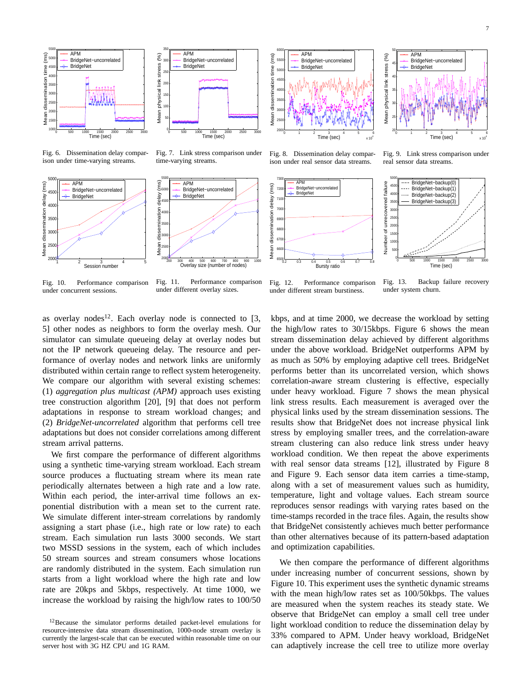

Fig. 6. Dissemination delay comparison under time-varying streams.



Fig. 7. Link stress comparison under time-varying streams.

Time (sec)

BridgeNet−uncorrelated **BridgeNet** 

Mean physical link stress (%)<br>se a a a a a

 $(%)$ 

stress

link physical

Mean

APM





Fig. 11. Performance comparison under different overlay sizes.



Fig. 8. Dissemination delay comparison under real sensor data streams.





APM BridgeNet−uncorrelated

**BridgeNet** 

35 F 40 45H  $50$ <sub>r</sub> $=$ 



Fig. 12. Performance comparison under different stream burstiness.

Fig. 13. Backup failure recovery under system churn.

as overlay nodes<sup>12</sup>. Each overlay node is connected to [3, 5] other nodes as neighbors to form the overlay mesh. Our simulator can simulate queueing delay at overlay nodes but not the IP network queueing delay. The resource and performance of overlay nodes and network links are uniformly distributed within certain range to reflect system heterogeneity. We compare our algorithm with several existing schemes: (1) *aggregation plus multicast (APM)* approach uses existing tree construction algorithm [20], [9] that does not perform adaptations in response to stream workload changes; and (2) *BridgeNet-uncorrelated* algorithm that performs cell tree adaptations but does not consider correlations among different stream arrival patterns.

We first compare the performance of different algorithms using a synthetic time-varying stream workload. Each stream source produces a fluctuating stream where its mean rate periodically alternates between a high rate and a low rate. Within each period, the inter-arrival time follows an exponential distribution with a mean set to the current rate. We simulate different inter-stream correlations by randomly assigning a start phase (i.e., high rate or low rate) to each stream. Each simulation run lasts 3000 seconds. We start two MSSD sessions in the system, each of which includes 50 stream sources and stream consumers whose locations are randomly distributed in the system. Each simulation run starts from a light workload where the high rate and low rate are 20kps and 5kbps, respectively. At time 1000, we increase the workload by raising the high/low rates to 100/50 kbps, and at time 2000, we decrease the workload by setting the high/low rates to 30/15kbps. Figure 6 shows the mean stream dissemination delay achieved by different algorithms under the above workload. BridgeNet outperforms APM by as much as 50% by employing adaptive cell trees. BridgeNet performs better than its uncorrelated version, which shows correlation-aware stream clustering is effective, especially under heavy workload. Figure 7 shows the mean physical link stress results. Each measurement is averaged over the physical links used by the stream dissemination sessions. The results show that BridgeNet does not increase physical link stress by employing smaller trees, and the correlation-aware stream clustering can also reduce link stress under heavy workload condition. We then repeat the above experiments with real sensor data streams [12], illustrated by Figure 8 and Figure 9. Each sensor data item carries a time-stamp, along with a set of measurement values such as humidity, temperature, light and voltage values. Each stream source reproduces sensor readings with varying rates based on the time-stamps recorded in the trace files. Again, the results show that BridgeNet consistently achieves much better performance than other alternatives because of its pattern-based adaptation and optimization capabilities.

We then compare the performance of different algorithms under increasing number of concurrent sessions, shown by Figure 10. This experiment uses the synthetic dynamic streams with the mean high/low rates set as 100/50kbps. The values are measured when the system reaches its steady state. We observe that BridgeNet can employ a small cell tree under light workload condition to reduce the dissemination delay by 33% compared to APM. Under heavy workload, BridgeNet can adaptively increase the cell tree to utilize more overlay

<sup>&</sup>lt;sup>12</sup>Because the simulator performs detailed packet-level emulations for resource-intensive data stream dissemination, 1000-node stream overlay is currently the largest-scale that can be executed within reasonable time on our server host with 3G HZ CPU and 1G RAM.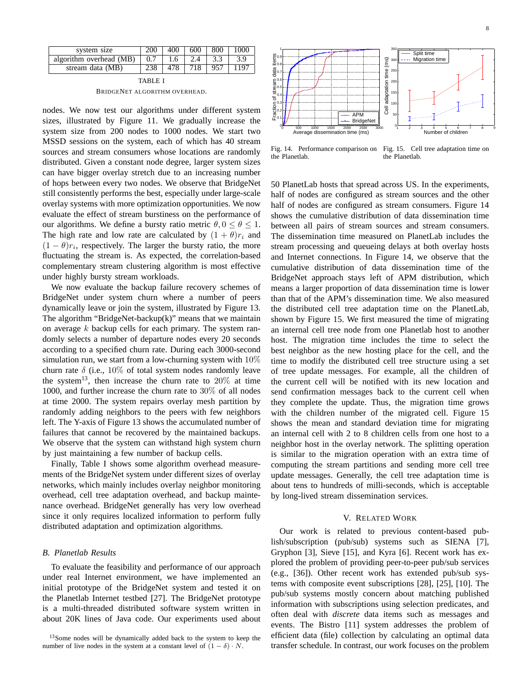| system size               | 200 | 400 | 600 | 800 | 1000 |
|---------------------------|-----|-----|-----|-----|------|
| algorithm overhead $(MB)$ |     | L.6 |     |     | 3.9  |
| stream data (MB)          |     |     | 718 | 957 | 197  |

TABLE I BRIDGENET ALGORITHM OVERHEAD.

nodes. We now test our algorithms under different system sizes, illustrated by Figure 11. We gradually increase the system size from 200 nodes to 1000 nodes. We start two MSSD sessions on the system, each of which has 40 stream sources and stream consumers whose locations are randomly distributed. Given a constant node degree, larger system sizes can have bigger overlay stretch due to an increasing number of hops between every two nodes. We observe that BridgeNet still consistently performs the best, especially under large-scale overlay systems with more optimization opportunities. We now evaluate the effect of stream burstiness on the performance of our algorithms. We define a bursty ratio metric  $\theta$ ,  $0 \le \theta \le 1$ . The high rate and low rate are calculated by  $(1 + \theta)r_i$  and  $(1 - \theta)r_i$ , respectively. The larger the bursty ratio, the more fluctuating the stream is. As expected, the correlation-based complementary stream clustering algorithm is most effective under highly bursty stream workloads.

We now evaluate the backup failure recovery schemes of BridgeNet under system churn where a number of peers dynamically leave or join the system, illustrated by Figure 13. The algorithm "BridgeNet-backup(k)" means that we maintain on average  $k$  backup cells for each primary. The system randomly selects a number of departure nodes every 20 seconds according to a specified churn rate. During each 3000-second simulation run, we start from a low-churning system with  $10\%$ churn rate  $\delta$  (i.e., 10% of total system nodes randomly leave the system<sup>13</sup>, then increase the churn rate to  $20\%$  at time 1000, and further increase the churn rate to 30% of all nodes at time 2000. The system repairs overlay mesh partition by randomly adding neighbors to the peers with few neighbors left. The Y-axis of Figure 13 shows the accumulated number of failures that cannot be recovered by the maintained backups. We observe that the system can withstand high system churn by just maintaining a few number of backup cells.

Finally, Table I shows some algorithm overhead measurements of the BridgeNet system under different sizes of overlay networks, which mainly includes overlay neighbor monitoring overhead, cell tree adaptation overhead, and backup maintenance overhead. BridgeNet generally has very low overhead since it only requires localized information to perform fully distributed adaptation and optimization algorithms.

# *B. Planetlab Results*

To evaluate the feasibility and performance of our approach under real Internet environment, we have implemented an initial prototype of the BridgeNet system and tested it on the Planetlab Internet testbed [27]. The BridgeNet prototype is a multi-threaded distributed software system written in about 20K lines of Java code. Our experiments used about



Fig. 14. Performance comparison on Fig. 15. Cell tree adaptation time on the Planetlab. the Planetlab.

50 PlanetLab hosts that spread across US. In the experiments, half of nodes are configured as stream sources and the other half of nodes are configured as stream consumers. Figure 14 shows the cumulative distribution of data dissemination time between all pairs of stream sources and stream consumers. The dissemination time measured on PlanetLab includes the stream processing and queueing delays at both overlay hosts and Internet connections. In Figure 14, we observe that the cumulative distribution of data dissemination time of the BridgeNet approach stays left of APM distribution, which means a larger proportion of data dissemination time is lower than that of the APM's dissemination time. We also measured the distributed cell tree adaptation time on the PlanetLab, shown by Figure 15. We first measured the time of migrating an internal cell tree node from one Planetlab host to another host. The migration time includes the time to select the best neighbor as the new hosting place for the cell, and the time to modify the distributed cell tree structure using a set of tree update messages. For example, all the children of the current cell will be notified with its new location and send confirmation messages back to the current cell when they complete the update. Thus, the migration time grows with the children number of the migrated cell. Figure 15 shows the mean and standard deviation time for migrating an internal cell with 2 to 8 children cells from one host to a neighbor host in the overlay network. The splitting operation is similar to the migration operation with an extra time of computing the stream partitions and sending more cell tree update messages. Generally, the cell tree adaptation time is about tens to hundreds of milli-seconds, which is acceptable by long-lived stream dissemination services.

# V. RELATED WORK

Our work is related to previous content-based publish/subscription (pub/sub) systems such as SIENA [7], Gryphon [3], Sieve [15], and Kyra [6]. Recent work has explored the problem of providing peer-to-peer pub/sub services (e.g., [36]). Other recent work has extended pub/sub systems with composite event subscriptions [28], [25], [10]. The pub/sub systems mostly concern about matching published information with subscriptions using selection predicates, and often deal with *discrete* data items such as messages and events. The Bistro [11] system addresses the problem of efficient data (file) collection by calculating an optimal data transfer schedule. In contrast, our work focuses on the problem

<sup>&</sup>lt;sup>13</sup>Some nodes will be dynamically added back to the system to keep the number of live nodes in the system at a constant level of  $(1 - \delta) \cdot N$ .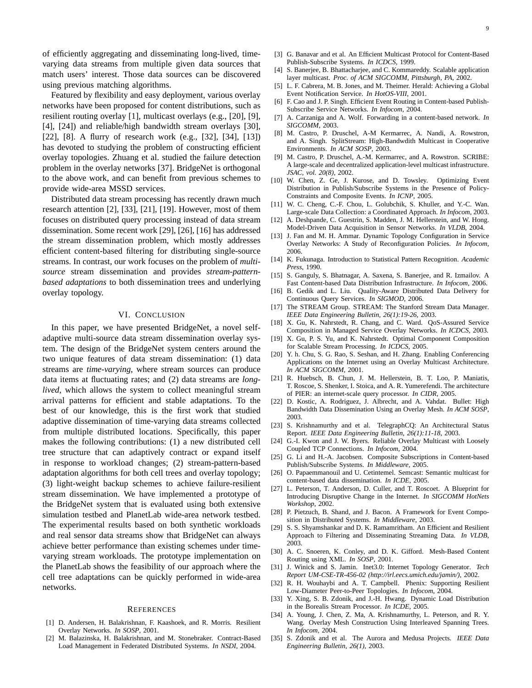of efficiently aggregating and disseminating long-lived, timevarying data streams from multiple given data sources that match users' interest. Those data sources can be discovered using previous matching algorithms.

Featured by flexibility and easy deployment, various overlay networks have been proposed for content distributions, such as resilient routing overlay [1], multicast overlays (e.g., [20], [9], [4], [24]) and reliable/high bandwidth stream overlays [30], [22], [8]. A flurry of research work (e.g., [32], [34], [13]) has devoted to studying the problem of constructing efficient overlay topologies. Zhuang et al. studied the failure detection problem in the overlay networks [37]. BridgeNet is orthogonal to the above work, and can benefit from previous schemes to provide wide-area MSSD services.

Distributed data stream processing has recently drawn much research attention [2], [33], [21], [19]. However, most of them focuses on distributed query processing instead of data stream dissemination. Some recent work [29], [26], [16] has addressed the stream dissemination problem, which mostly addresses efficient content-based filtering for distributing single-source streams. In contrast, our work focuses on the problem of *multisource* stream dissemination and provides *stream-patternbased adaptations* to both dissemination trees and underlying overlay topology.

# VI. CONCLUSION

In this paper, we have presented BridgeNet, a novel selfadaptive multi-source data stream dissemination overlay system. The design of the BridgeNet system centers around the two unique features of data stream dissemination: (1) data streams are *time-varying*, where stream sources can produce data items at fluctuating rates; and (2) data streams are *longlived*, which allows the system to collect meaningful stream arrival patterns for efficient and stable adaptations. To the best of our knowledge, this is the first work that studied adaptive dissemination of time-varying data streams collected from multiple distributed locations. Specifically, this paper makes the following contributions: (1) a new distributed cell tree structure that can adaptively contract or expand itself in response to workload changes; (2) stream-pattern-based adaptation algorithms for both cell trees and overlay topology; (3) light-weight backup schemes to achieve failure-resilient stream dissemination. We have implemented a prototype of the BridgeNet system that is evaluated using both extensive simulation testbed and PlanetLab wide-area network testbed. The experimental results based on both synthetic workloads and real sensor data streams show that BridgeNet can always achieve better performance than existing schemes under timevarying stream workloads. The prototype implementation on the PlanetLab shows the feasibility of our approach where the cell tree adaptations can be quickly performed in wide-area networks.

#### **REFERENCES**

- [1] D. Andersen, H. Balakrishnan, F. Kaashoek, and R. Morris. Resilient Overlay Networks. *In SOSP*, 2001.
- [2] M. Balazinska, H. Balakrishnan, and M. Stonebraker. Contract-Based Load Management in Federated Distributed Systems. *In NSDI*, 2004.
- [3] G. Banavar and et al. An Efficient Multicast Protocol for Content-Based Publish-Subscribe Systems. *In ICDCS*, 1999.
- [4] S. Banerjee, B. Bhattacharjee, and C. Kommareddy. Scalable application layer multicast. *Proc. of ACM SIGCOMM, Pittsburgh, PA*, 2002.
- [5] L. F. Cabrera, M. B. Jones, and M. Theimer. Herald: Achieving a Global Event Notification Service. *In HotOS-VIII*, 2001.
- [6] F. Cao and J. P. Singh. Efficient Event Routing in Content-based Publish-Subscribe Service Networks. *In Infocom*, 2004.
- [7] A. Carzaniga and A. Wolf. Forwarding in a content-based network. *In SIGCOMM*, 2003.
- [8] M. Castro, P. Druschel, A-M Kermarrec, A. Nandi, A. Rowstron, and A. Singh. SplitStream: High-Bandwdith Multicast in Cooperative Environments. *In ACM SOSP*, 2003.
- [9] M. Castro, P. Druschel, A.-M. Kermarrec, and A. Rowstron. SCRIBE: A large-scale and decentralized application-level multicast infrastructure. *JSAC, vol. 20(8)*, 2002.
- [10] W. Chen, Z. Ge, J. Kurose, and D. Towsley. Optimizing Event Distribution in Publish/Subscribe Systems in the Presence of Policy-Constraints and Composite Events. *In ICNP*, 2005.
- [11] W. C. Cheng, C.-F. Chou, L. Golubchik, S. Khuller, and Y.-C. Wan. Large-scale Data Collection: a Coordinated Approach. *In Infocom*, 2003.
- [12] A. Deshpande, C. Guestrin, S. Madden, J. M. Hellerstein, and W. Hong. Model-Driven Data Acquisition in Sensor Networks. *In VLDB*, 2004.
- [13] J. Fan and M. H. Ammar. Dynamic Topology Configuration in Service Overlay Networks: A Study of Reconfiguration Policies. *In Infocom*, 2006.
- [14] K. Fukunaga. Introduction to Statistical Pattern Recognition. *Academic Press*, 1990.
- [15] S. Ganguly, S. Bhatnagar, A. Saxena, S. Banerjee, and R. Izmailov. A Fast Content-based Data Distribution Infrastructure. *In Infocom*, 2006.
- [16] B. Gedik and L. Liu. Quality-Aware Distributed Data Delivery for Continuous Query Services. *In SIGMOD*, 2006.
- [17] The STREAM Group. STREAM: The Stanford Stream Data Manager. *IEEE Data Engineering Bulletin, 26(1):19-26*, 2003.
- [18] X. Gu, K. Nahrstedt, R. Chang, and C. Ward. QoS-Assured Service Composition in Managed Service Overlay Networks. *In ICDCS*, 2003.
- [19] X. Gu, P. S. Yu, and K. Nahrstedt. Optimal Component Composition for Scalable Stream Processing. *In ICDCS*, 2005.
- [20] Y. h. Chu, S. G. Rao, S. Seshan, and H. Zhang. Enabling Conferencing Applications on the Internet using an Overlay Multicast Architecture. *In ACM SIGCOMM*, 2001.
- [21] R. Huebsch, B. Chun, J. M. Hellerstein, B. T. Loo, P. Maniatis, T. Roscoe, S. Shenker, I. Stoica, and A. R. Yumerefendi. The architecture of PIER: an internet-scale query processor. *In CIDR*, 2005.
- [22] D. Kostic, A. Rodriguez, J. Albrecht, and A. Vahdat. Bullet: High Bandwidth Data Dissemination Using an Overlay Mesh. *In ACM SOSP*, 2003.
- [23] S. Krishnamurthy and et al. TelegraphCQ: An Architectural Status Report. *IEEE Data Engineering Bulletin, 26(1):11-18*, 2003.
- [24] G.-I. Kwon and J. W. Byers. Reliable Overlay Multicast with Loosely Coupled TCP Connections. *In Infocom*, 2004.
- [25] G. Li and H.-A. Jacobsen. Composite Subscriptions in Content-based Publish/Subscribe Systems. *In Middleware*, 2005.
- [26] O. Papaemmanouil and U. Cetintemel. Semcast: Semantic multicast for content-based data dissemination. *In ICDE*, 2005.
- [27] L. Peterson, T. Anderson, D. Culler, and T. Roscoet. A Blueprint for Introducing Disruptive Change in the Internet. *In SIGCOMM HotNets Workshop*, 2002.
- [28] P. Pietzuch, B. Shand, and J. Bacon. A Framework for Event Composition in Distributed Systems. *In Middleware*, 2003.
- [29] S. S. Shyamshankar and D. K. Ramamritham. An Efficient and Resilient Approach to Filtering and Disseminating Streaming Data. *In VLDB*, 2003.
- [30] A. C. Snoeren, K. Conley, and D. K. Gifford. Mesh-Based Content Routing using XML. *In SOSP*, 2001.
- [31] J. Winick and S. Jamin. Inet3.0: Internet Topology Generator. *Tech Report UM-CSE-TR-456-02 (http://irl.eecs.umich.edu/jamin/)*, 2002.
- [32] R. H. Wouhaybi and A. T. Campbell. Phenix: Supporting Resilient Low-Diameter Peer-to-Peer Topologies. *In Infocom*, 2004.
- [33] Y. Xing, S. B. Zdonik, and J.-H. Hwang. Dynamic Load Distribution in the Borealis Stream Processor. *In ICDE*, 2005.
- [34] A. Young, J. Chen, Z. Ma, A. Krishnamurthy, L. Peterson, and R. Y. Wang. Overlay Mesh Construction Using Interleaved Spanning Trees. *In Infocom*, 2004.
- [35] S. Zdonik and et al. The Aurora and Medusa Projects. *IEEE Data Engineering Bulletin, 26(1)*, 2003.